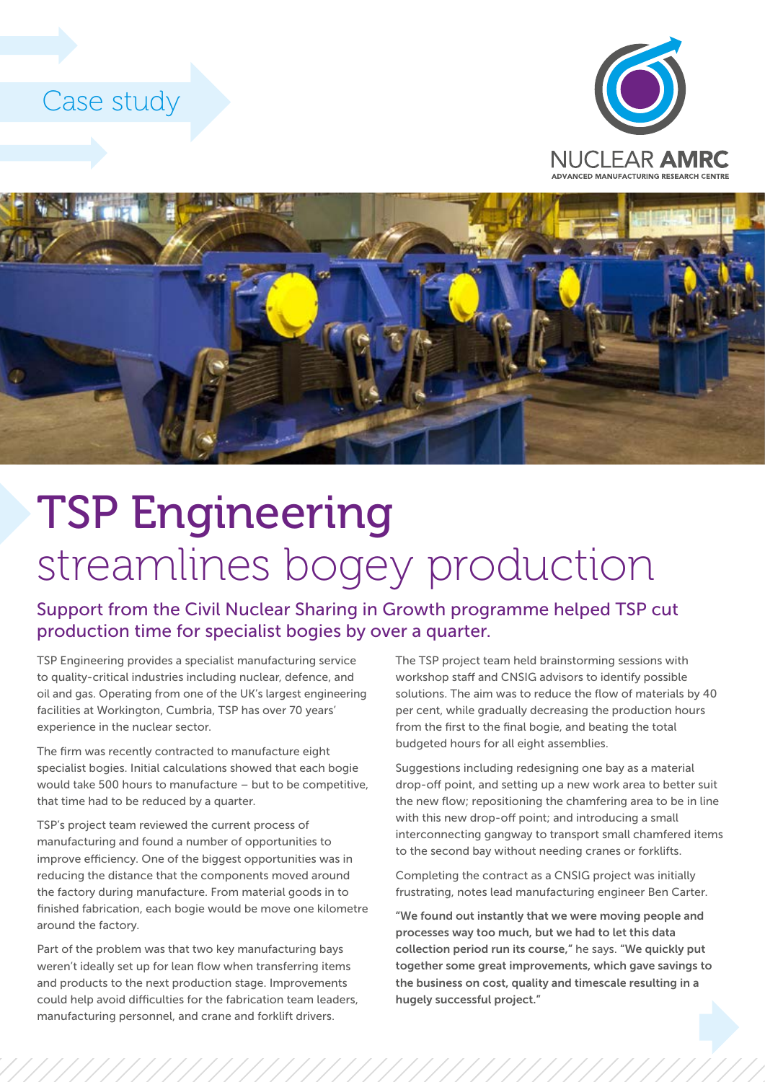## Case study





## TSP Engineering streamlines bogey production

Support from the Civil Nuclear Sharing in Growth programme helped TSP cut production time for specialist bogies by over a quarter.

TSP Engineering provides a specialist manufacturing service to quality-critical industries including nuclear, defence, and oil and gas. Operating from one of the UK's largest engineering facilities at Workington, Cumbria, TSP has over 70 years' experience in the nuclear sector.

The firm was recently contracted to manufacture eight specialist bogies. Initial calculations showed that each bogie would take 500 hours to manufacture – but to be competitive, that time had to be reduced by a quarter.

TSP's project team reviewed the current process of manufacturing and found a number of opportunities to improve efficiency. One of the biggest opportunities was in reducing the distance that the components moved around the factory during manufacture. From material goods in to finished fabrication, each bogie would be move one kilometre around the factory.

Part of the problem was that two key manufacturing bays weren't ideally set up for lean flow when transferring items and products to the next production stage. Improvements could help avoid difficulties for the fabrication team leaders, manufacturing personnel, and crane and forklift drivers.

The TSP project team held brainstorming sessions with workshop staff and CNSIG advisors to identify possible solutions. The aim was to reduce the flow of materials by 40 per cent, while gradually decreasing the production hours from the first to the final bogie, and beating the total budgeted hours for all eight assemblies.

Suggestions including redesigning one bay as a material drop-off point, and setting up a new work area to better suit the new flow; repositioning the chamfering area to be in line with this new drop-off point; and introducing a small interconnecting gangway to transport small chamfered items to the second bay without needing cranes or forklifts.

Completing the contract as a CNSIG project was initially frustrating, notes lead manufacturing engineer Ben Carter.

"We found out instantly that we were moving people and processes way too much, but we had to let this data collection period run its course," he says. "We quickly put together some great improvements, which gave savings to the business on cost, quality and timescale resulting in a hugely successful project."